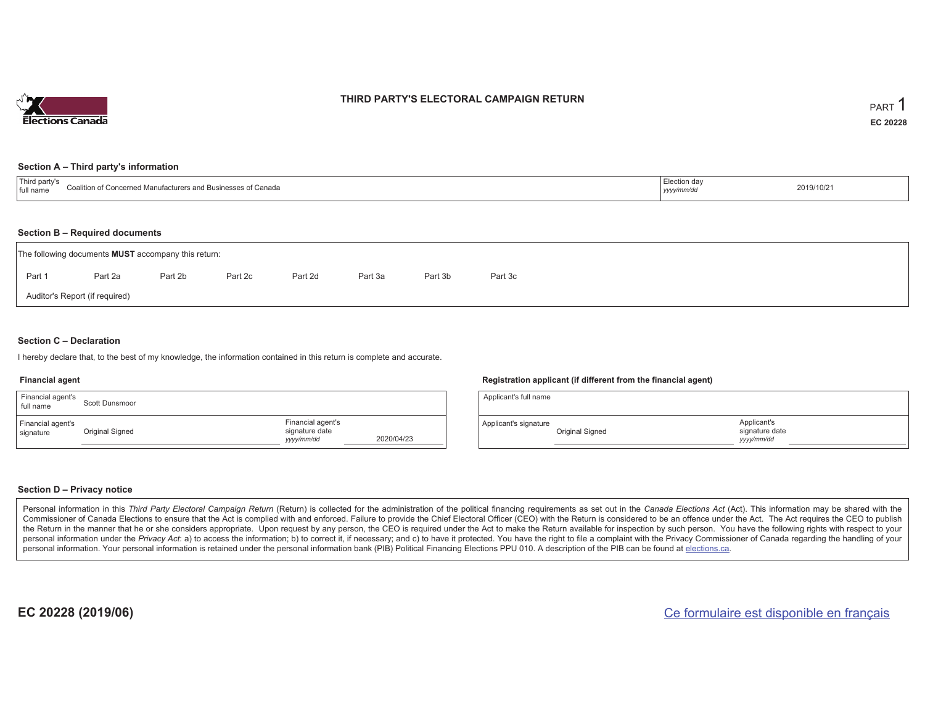

### **THIRD PARTY'S ELECTORAL CAMPAIGN RETURN**

#### **Section A – Third party's information**

| $\sim$ $\sim$ $\sim$<br>⊥ Tuil namie. | ∵∩aliti<br>nutacturers an<br>ncernea<br>canaga | ua<br>--------<br>ーッソソン | 2019/10/21 |
|---------------------------------------|------------------------------------------------|-------------------------|------------|
|                                       |                                                |                         |            |

#### **Section B – Required documents**

| The following documents <b>MUST</b> accompany this return: |         |         |         |         |         |         |         |  |  |
|------------------------------------------------------------|---------|---------|---------|---------|---------|---------|---------|--|--|
| Part 1                                                     | Part 2a | Part 2b | Part 2c | Part 2d | Part 3a | Part 3b | Part 3c |  |  |
| Auditor's Report (if required)                             |         |         |         |         |         |         |         |  |  |

#### **Section C – Declaration**

I hereby declare that, to the best of my knowledge, the information contained in this return is complete and accurate.

#### **Financial agent**

| Financial agent's<br>full name | Scott Dunsmoor  |                                                   |            |
|--------------------------------|-----------------|---------------------------------------------------|------------|
| Financial agent's<br>signature | Original Signed | Financial agent's<br>signature date<br>yyyy/mm/dd | 2020/04/23 |

#### **Registration applicant (if different from the financial agent)**

| Applicant's full name |                 |                                             |  |
|-----------------------|-----------------|---------------------------------------------|--|
| Applicant's signature | Original Signed | Applicant's<br>signature date<br>yyyy/mm/dd |  |

#### **Section D – Privacy notice**

Personal information in this Third Party Electoral Campaign Return (Return) is collected for the administration of the political financing requirements as set out in the Canada Elections Act (Act). This information may be Commissioner of Canada Elections to ensure that the Act is complied with and enforced. Failure to provide the Chief Electoral Officer (CEO) with the Return is considered to be an offence under the Act. The Act requires the the Return in the manner that he or she considers appropriate. Upon request by any person, the CEO is required under the Act to make the Return available for inspection by such person. You have the following rights with re personal information under the Privacy Act: a) to access the information; b) to correct it, if necessary; and c) to have it protected. You have the right to file a complaint with the Privacy Commissioner of Canada regardin personal information. Your personal information is retained under the personal information bank (PIB) Political Financing Elections PPU 010. A description of the PIB can be found at elections.ca.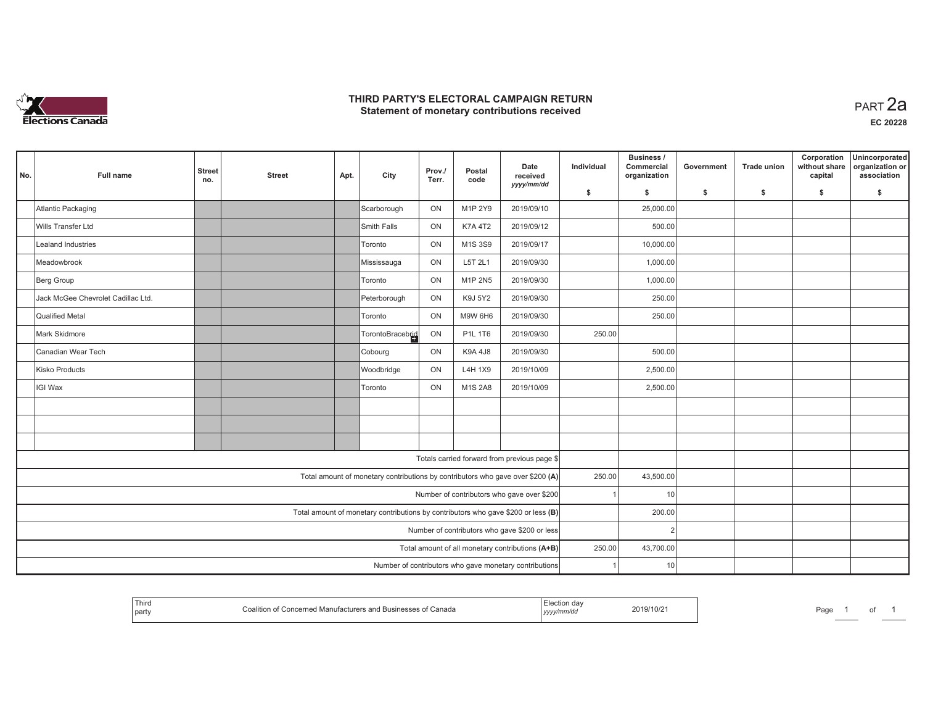

#### **THIRD PARTY'S ELECTORAL CAMPAIGN RETURN HIRD PARTY'S ELECTORAL CAMPAIGN RETURN<br>Statement of monetary contributions received PART 2a**

| No. | Full name                                                                         | <b>Street</b><br>no. | <b>Street</b> | Apt. | City                                                                           | Prov./<br>Terr. | Postal<br>code | Date<br>received                                       | Individual | Business /<br>Commercial<br>organization | Government | Trade union | Corporation<br>without share<br>capital | Unincorporated<br>organization or<br>association |
|-----|-----------------------------------------------------------------------------------|----------------------|---------------|------|--------------------------------------------------------------------------------|-----------------|----------------|--------------------------------------------------------|------------|------------------------------------------|------------|-------------|-----------------------------------------|--------------------------------------------------|
|     |                                                                                   |                      |               |      |                                                                                |                 |                | yyyy/mm/dd                                             | \$         | s.                                       | \$         | \$          | \$                                      | \$                                               |
|     | Atlantic Packaging                                                                |                      |               |      | Scarborough                                                                    | ON              | M1P 2Y9        | 2019/09/10                                             |            | 25,000.00                                |            |             |                                         |                                                  |
|     | <b>Wills Transfer Ltd</b>                                                         |                      |               |      | Smith Falls                                                                    | ON              | <b>K7A 4T2</b> | 2019/09/12                                             |            | 500.00                                   |            |             |                                         |                                                  |
|     | Lealand Industries                                                                |                      |               |      | Toronto                                                                        | ON              | M1S 3S9        | 2019/09/17                                             |            | 10,000.00                                |            |             |                                         |                                                  |
|     | Meadowbrook                                                                       |                      |               |      | Mississauga                                                                    | ON              | L5T 2L1        | 2019/09/30                                             |            | 1,000.00                                 |            |             |                                         |                                                  |
|     | Berg Group                                                                        |                      |               |      | Toronto                                                                        | ON              | M1P 2N5        | 2019/09/30                                             |            | 1,000.00                                 |            |             |                                         |                                                  |
|     | Jack McGee Chevrolet Cadillac Ltd.                                                |                      |               |      | Peterborough                                                                   | ON              | K9J 5Y2        | 2019/09/30                                             |            | 250.00                                   |            |             |                                         |                                                  |
|     | Qualified Metal                                                                   |                      |               |      | Toronto                                                                        | ON              | <b>M9W 6H6</b> | 2019/09/30                                             |            | 250.00                                   |            |             |                                         |                                                  |
|     | Mark Skidmore                                                                     |                      |               |      | TorontoBracebrid                                                               | ON              | P1L 1T6        | 2019/09/30                                             | 250.00     |                                          |            |             |                                         |                                                  |
|     | Canadian Wear Tech                                                                |                      |               |      | Cobourg                                                                        | ON              | K9A 4J8        | 2019/09/30                                             |            | 500.00                                   |            |             |                                         |                                                  |
|     | Kisko Products                                                                    |                      |               |      | Woodbridge                                                                     | ON              | L4H 1X9        | 2019/10/09                                             |            | 2,500.00                                 |            |             |                                         |                                                  |
|     | IGI Wax                                                                           |                      |               |      | Toronto                                                                        | ON              | M1S 2A8        | 2019/10/09                                             |            | 2,500.00                                 |            |             |                                         |                                                  |
|     |                                                                                   |                      |               |      |                                                                                |                 |                |                                                        |            |                                          |            |             |                                         |                                                  |
|     |                                                                                   |                      |               |      |                                                                                |                 |                |                                                        |            |                                          |            |             |                                         |                                                  |
|     |                                                                                   |                      |               |      |                                                                                |                 |                |                                                        |            |                                          |            |             |                                         |                                                  |
|     |                                                                                   |                      |               |      |                                                                                |                 |                | Totals carried forward from previous page \$           |            |                                          |            |             |                                         |                                                  |
|     |                                                                                   |                      |               |      | Total amount of monetary contributions by contributors who gave over \$200 (A) |                 |                |                                                        | 250.00     | 43,500.00                                |            |             |                                         |                                                  |
|     | Number of contributors who gave over \$200                                        |                      |               |      |                                                                                |                 |                |                                                        |            | 10                                       |            |             |                                         |                                                  |
|     | Total amount of monetary contributions by contributors who gave \$200 or less (B) |                      |               |      |                                                                                |                 |                |                                                        |            | 200.00                                   |            |             |                                         |                                                  |
|     | Number of contributors who gave \$200 or less                                     |                      |               |      |                                                                                |                 |                |                                                        |            |                                          |            |             |                                         |                                                  |
|     |                                                                                   |                      |               |      |                                                                                |                 |                | Total amount of all monetary contributions (A+B)       | 250.00     | 43,700.00                                |            |             |                                         |                                                  |
|     |                                                                                   |                      |               |      |                                                                                |                 |                | Number of contributors who gave monetary contributions |            | 10                                       |            |             |                                         |                                                  |

|  | Third<br>party | d Businesses of Canada<br>acerned Manufacturers and F | ,,,,, | 2019/10/21 | Page |  | $\sim$<br>$\cdot$ |  |
|--|----------------|-------------------------------------------------------|-------|------------|------|--|-------------------|--|
|--|----------------|-------------------------------------------------------|-------|------------|------|--|-------------------|--|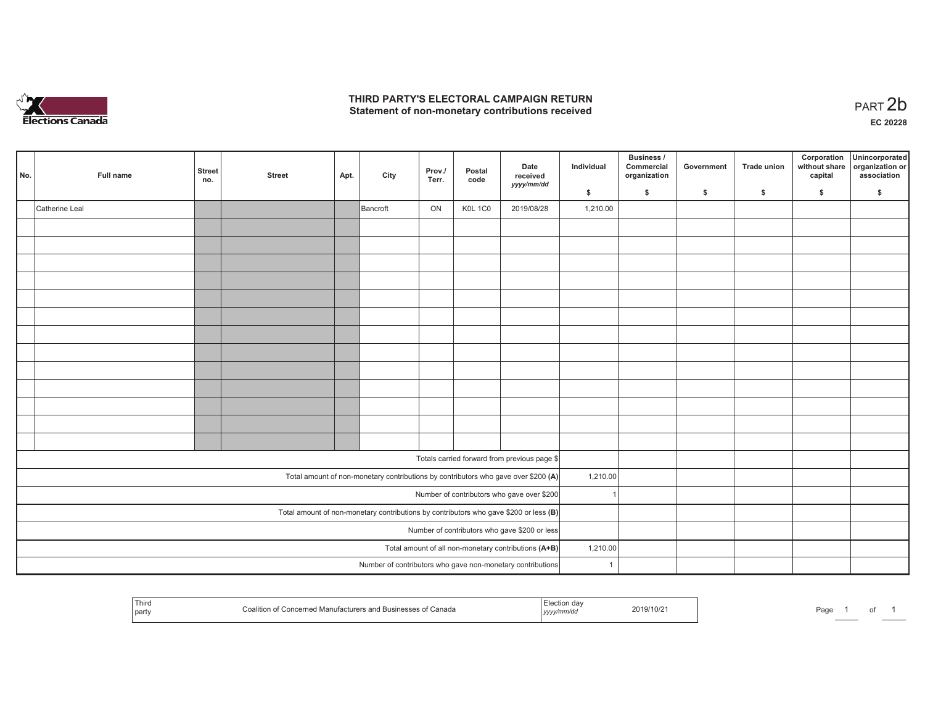

## **THIRD PARTY'S ELECTORAL CAMPAIGN RETURN**  THIRD PARTY'S ELECTORAL CAMPAIGN RETURN<br>Statement of non-monetary contributions received<br> **PART 2b**

| No.                                                                                                                              | Full name      | <b>Street</b><br>no. | <b>Street</b> | Apt. | City     | Prov./<br>Terr. | Postal<br>code | Date<br>received<br>yyyy/mm/dd                             | Individual   | <b>Business /</b><br>Commercial<br>organization | Government | Trade union | Corporation<br>without share<br>capital | Unincorporated<br>organization or<br>association |
|----------------------------------------------------------------------------------------------------------------------------------|----------------|----------------------|---------------|------|----------|-----------------|----------------|------------------------------------------------------------|--------------|-------------------------------------------------|------------|-------------|-----------------------------------------|--------------------------------------------------|
|                                                                                                                                  |                |                      |               |      |          |                 |                |                                                            | \$           | \$                                              | \$         | \$          | \$                                      | \$                                               |
|                                                                                                                                  | Catherine Leal |                      |               |      | Bancroft | ON              | KOL 1CO        | 2019/08/28                                                 | 1,210.00     |                                                 |            |             |                                         |                                                  |
|                                                                                                                                  |                |                      |               |      |          |                 |                |                                                            |              |                                                 |            |             |                                         |                                                  |
|                                                                                                                                  |                |                      |               |      |          |                 |                |                                                            |              |                                                 |            |             |                                         |                                                  |
|                                                                                                                                  |                |                      |               |      |          |                 |                |                                                            |              |                                                 |            |             |                                         |                                                  |
|                                                                                                                                  |                |                      |               |      |          |                 |                |                                                            |              |                                                 |            |             |                                         |                                                  |
|                                                                                                                                  |                |                      |               |      |          |                 |                |                                                            |              |                                                 |            |             |                                         |                                                  |
|                                                                                                                                  |                |                      |               |      |          |                 |                |                                                            |              |                                                 |            |             |                                         |                                                  |
|                                                                                                                                  |                |                      |               |      |          |                 |                |                                                            |              |                                                 |            |             |                                         |                                                  |
|                                                                                                                                  |                |                      |               |      |          |                 |                |                                                            |              |                                                 |            |             |                                         |                                                  |
|                                                                                                                                  |                |                      |               |      |          |                 |                |                                                            |              |                                                 |            |             |                                         |                                                  |
|                                                                                                                                  |                |                      |               |      |          |                 |                |                                                            |              |                                                 |            |             |                                         |                                                  |
|                                                                                                                                  |                |                      |               |      |          |                 |                |                                                            |              |                                                 |            |             |                                         |                                                  |
|                                                                                                                                  |                |                      |               |      |          |                 |                |                                                            |              |                                                 |            |             |                                         |                                                  |
|                                                                                                                                  |                |                      |               |      |          |                 |                |                                                            |              |                                                 |            |             |                                         |                                                  |
|                                                                                                                                  |                |                      |               |      |          |                 |                | Totals carried forward from previous page \$               |              |                                                 |            |             |                                         |                                                  |
|                                                                                                                                  |                |                      |               |      |          |                 |                |                                                            | 1,210.00     |                                                 |            |             |                                         |                                                  |
| Total amount of non-monetary contributions by contributors who gave over \$200 (A)<br>Number of contributors who gave over \$200 |                |                      |               |      |          |                 |                |                                                            |              |                                                 |            |             |                                         |                                                  |
| Total amount of non-monetary contributions by contributors who gave \$200 or less $(B)$                                          |                |                      |               |      |          |                 |                |                                                            |              |                                                 |            |             |                                         |                                                  |
| Number of contributors who gave \$200 or less                                                                                    |                |                      |               |      |          |                 |                |                                                            |              |                                                 |            |             |                                         |                                                  |
| Total amount of all non-monetary contributions (A+B)                                                                             |                |                      |               |      |          |                 |                |                                                            | 1,210.00     |                                                 |            |             |                                         |                                                  |
|                                                                                                                                  |                |                      |               |      |          |                 |                | Number of contributors who gave non-monetary contributions | $\mathbf{1}$ |                                                 |            |             |                                         |                                                  |
|                                                                                                                                  |                |                      |               |      |          |                 |                |                                                            |              |                                                 |            |             |                                         |                                                  |

| Third<br>and the state of the state of the<br>∴oaliti<br>party | oncerned Manufacturers and Businesses of Canada. | гаа<br>, yyyymmvaa | 2019/10/2 | Page |  | וש |  |
|----------------------------------------------------------------|--------------------------------------------------|--------------------|-----------|------|--|----|--|
|----------------------------------------------------------------|--------------------------------------------------|--------------------|-----------|------|--|----|--|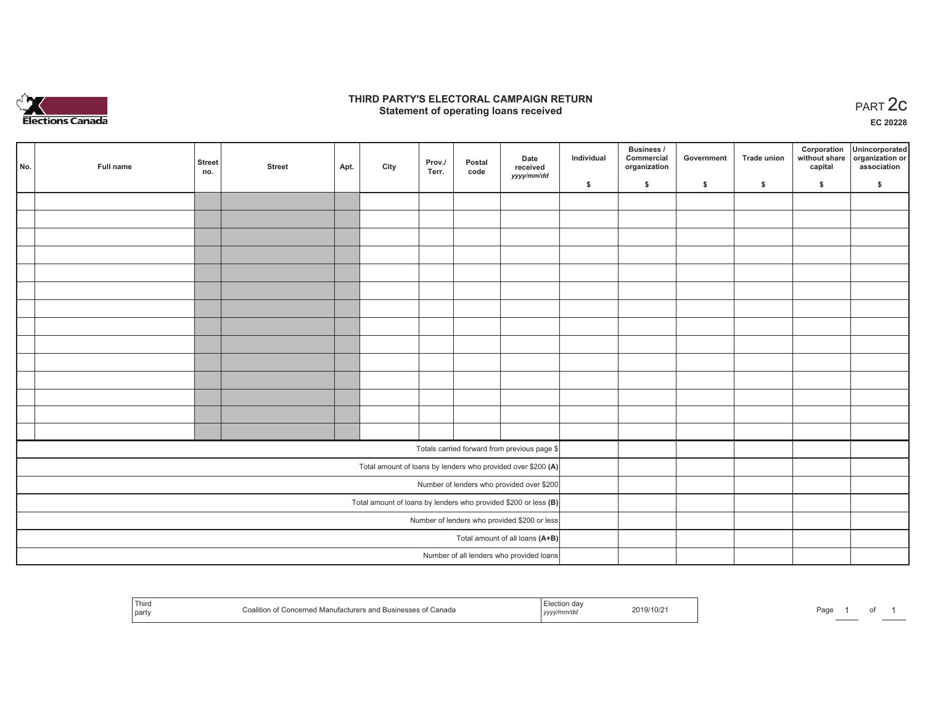

### **THIRD PARTY'S ELECTORAL CAMPAIGN RETURN STATE:** PRACT OF OPPRESS TO PART 2C STATE STATE STATE STATE STATE STATE STATE STATE STATE START 2C STATE STATE STATE STATE STATE STATE STATE STATE STATE STATE STATE STATE STATE STATE STATE STATE STATE STATE STATE STATE ST

**EC 20228**

 $\sim$ 

|                                                                   |     |           |                      |               |      |      |                 |                |                                                              |            | Business /                 |            |                    | Corporation | Unincorporated                               |
|-------------------------------------------------------------------|-----|-----------|----------------------|---------------|------|------|-----------------|----------------|--------------------------------------------------------------|------------|----------------------------|------------|--------------------|-------------|----------------------------------------------|
|                                                                   | No. | Full name | <b>Street</b><br>no. | <b>Street</b> | Apt. | City | Prov./<br>Terr. | Postal<br>code | Date<br>received                                             | Individual | Commercial<br>organization | Government | <b>Trade union</b> | capital     | without share organization or<br>association |
|                                                                   |     |           |                      |               |      |      |                 |                | yyyy/mm/dd                                                   | \$         | \$                         | \$         | $\sqrt{2}$         | \$          | \$                                           |
|                                                                   |     |           |                      |               |      |      |                 |                |                                                              |            |                            |            |                    |             |                                              |
|                                                                   |     |           |                      |               |      |      |                 |                |                                                              |            |                            |            |                    |             |                                              |
|                                                                   |     |           |                      |               |      |      |                 |                |                                                              |            |                            |            |                    |             |                                              |
|                                                                   |     |           |                      |               |      |      |                 |                |                                                              |            |                            |            |                    |             |                                              |
|                                                                   |     |           |                      |               |      |      |                 |                |                                                              |            |                            |            |                    |             |                                              |
|                                                                   |     |           |                      |               |      |      |                 |                |                                                              |            |                            |            |                    |             |                                              |
|                                                                   |     |           |                      |               |      |      |                 |                |                                                              |            |                            |            |                    |             |                                              |
|                                                                   |     |           |                      |               |      |      |                 |                |                                                              |            |                            |            |                    |             |                                              |
|                                                                   |     |           |                      |               |      |      |                 |                |                                                              |            |                            |            |                    |             |                                              |
|                                                                   |     |           |                      |               |      |      |                 |                |                                                              |            |                            |            |                    |             |                                              |
|                                                                   |     |           |                      |               |      |      |                 |                |                                                              |            |                            |            |                    |             |                                              |
|                                                                   |     |           |                      |               |      |      |                 |                |                                                              |            |                            |            |                    |             |                                              |
|                                                                   |     |           |                      |               |      |      |                 |                |                                                              |            |                            |            |                    |             |                                              |
|                                                                   |     |           |                      |               |      |      |                 |                |                                                              |            |                            |            |                    |             |                                              |
|                                                                   |     |           |                      |               |      |      |                 |                | Totals carried forward from previous page \$                 |            |                            |            |                    |             |                                              |
|                                                                   |     |           |                      |               |      |      |                 |                | Total amount of loans by lenders who provided over \$200 (A) |            |                            |            |                    |             |                                              |
| Number of lenders who provided over \$200                         |     |           |                      |               |      |      |                 |                |                                                              |            |                            |            |                    |             |                                              |
| Total amount of loans by lenders who provided \$200 or less $(B)$ |     |           |                      |               |      |      |                 |                |                                                              |            |                            |            |                    |             |                                              |
| Number of lenders who provided \$200 or less                      |     |           |                      |               |      |      |                 |                |                                                              |            |                            |            |                    |             |                                              |
| Total amount of all loans (A+B)                                   |     |           |                      |               |      |      |                 |                |                                                              |            |                            |            |                    |             |                                              |
|                                                                   |     |           |                      |               |      |      |                 |                | Number of all lenders who provided loans                     |            |                            |            |                    |             |                                              |

| 1 nirc<br>∧lanı<br>Canada<br>'S dhe<br>part | 2019/10/21<br>,,,, | Page |
|---------------------------------------------|--------------------|------|
|---------------------------------------------|--------------------|------|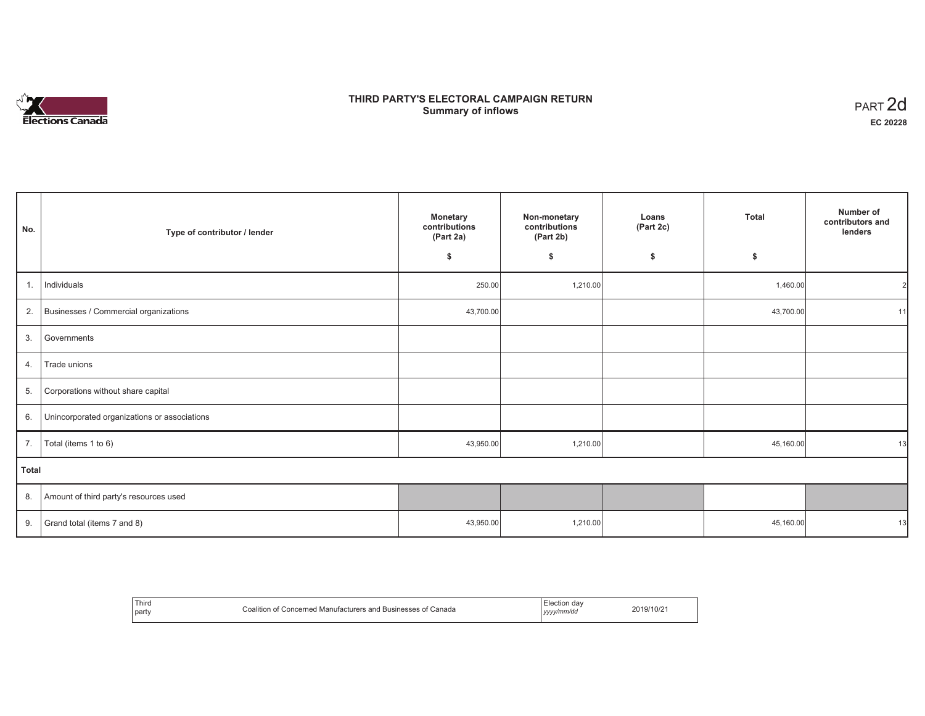# **Elections Canada**

# **THIRD PARTY'S ELECTORAL CAMPAIGN RETURN Summary of inflows**

| PART <sub>2d</sub> |
|--------------------|
| EC 20228           |

| No.   | Type of contributor / lender                 | <b>Monetary</b><br>contributions<br>(Part 2a) | Non-monetary<br>contributions<br>(Part 2b) | Loans<br>(Part 2c) | <b>Total</b> | Number of<br>contributors and<br>lenders |
|-------|----------------------------------------------|-----------------------------------------------|--------------------------------------------|--------------------|--------------|------------------------------------------|
|       |                                              | \$                                            | \$                                         | S.                 | \$           |                                          |
| 1.    | Individuals                                  | 250.00                                        | 1,210.00                                   |                    | 1,460.00     | 21                                       |
| 2.    | Businesses / Commercial organizations        | 43,700.00                                     |                                            |                    | 43,700.00    | 11                                       |
| 3.    | Governments                                  |                                               |                                            |                    |              |                                          |
| 4.    | Trade unions                                 |                                               |                                            |                    |              |                                          |
| 5.    | Corporations without share capital           |                                               |                                            |                    |              |                                          |
| 6.    | Unincorporated organizations or associations |                                               |                                            |                    |              |                                          |
| 7.    | Total (items 1 to 6)                         | 43,950.00                                     | 1,210.00                                   |                    | 45,160.00    | 13                                       |
| Total |                                              |                                               |                                            |                    |              |                                          |
| 8.    | Amount of third party's resources used       |                                               |                                            |                    |              |                                          |
| 9.    | Grand total (items 7 and 8)                  | 43,950.00                                     | 1,210.00                                   |                    | 45,160.00    | 13                                       |

| Thira<br>party | Canada<br>`∩aliti∩¦<br>Businesses<br>anc<br>Manutac<br>oncerner | mm/dc<br>,,, | 10/1<br>1 U Z |
|----------------|-----------------------------------------------------------------|--------------|---------------|
|----------------|-----------------------------------------------------------------|--------------|---------------|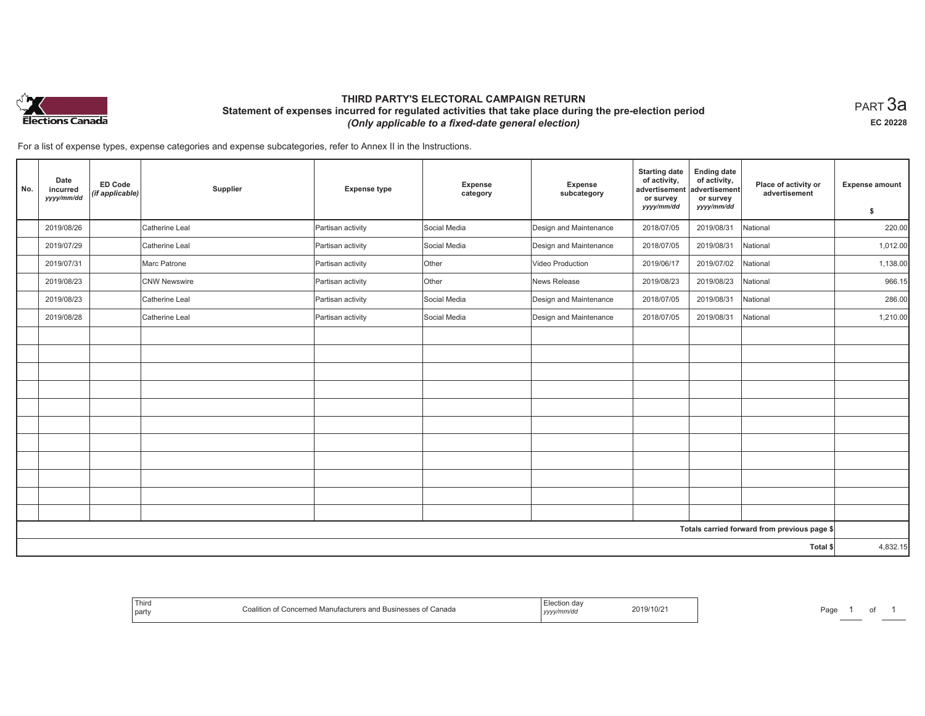

## **THIRD PARTY'S ELECTORAL CAMPAIGN RETURN Statement of expenses incurred for regulated activities that take place during the pre-election period**  *(Only applicable to a fixed-date general election)*

 $_{\sf PART}$ 3a **EC 20228**

For a list of expense types, expense categories and expense subcategories, refer to Annex II in the Instructions.

| No. | Date<br>incurred<br>yyyy/mm/dd | <b>ED Code</b><br>(if applicable) | Supplier            | <b>Expense type</b> | Expense<br>category | Expense<br>subcategory | <b>Starting date</b><br>of activity,<br>advertisement<br>or survey<br>yyyy/mm/dd | <b>Ending date</b><br>of activity,<br>advertisement<br>or survey<br>yyyy/mm/dd | Place of activity or<br>advertisement        | <b>Expense amount</b> |
|-----|--------------------------------|-----------------------------------|---------------------|---------------------|---------------------|------------------------|----------------------------------------------------------------------------------|--------------------------------------------------------------------------------|----------------------------------------------|-----------------------|
|     |                                |                                   |                     |                     |                     |                        |                                                                                  |                                                                                |                                              | \$                    |
|     | 2019/08/26                     |                                   | Catherine Leal      | Partisan activity   | Social Media        | Design and Maintenance | 2018/07/05                                                                       | 2019/08/31                                                                     | National                                     | 220.00                |
|     | 2019/07/29                     |                                   | Catherine Leal      | Partisan activity   | Social Media        | Design and Maintenance | 2018/07/05                                                                       | 2019/08/31                                                                     | National                                     | 1,012.00              |
|     | 2019/07/31                     |                                   | Marc Patrone        | Partisan activity   | Other               | Video Production       | 2019/06/17                                                                       | 2019/07/02                                                                     | National                                     | 1,138.00              |
|     | 2019/08/23                     |                                   | <b>CNW Newswire</b> | Partisan activity   | Other               | News Release           | 2019/08/23                                                                       | 2019/08/23                                                                     | National                                     | 966.15                |
|     | 2019/08/23                     |                                   | Catherine Leal      | Partisan activity   | Social Media        | Design and Maintenance | 2018/07/05                                                                       | 2019/08/31                                                                     | National                                     | 286.00                |
|     | 2019/08/28                     |                                   | Catherine Leal      | Partisan activity   | Social Media        | Design and Maintenance | 2018/07/05                                                                       | 2019/08/31                                                                     | National                                     | 1,210.00              |
|     |                                |                                   |                     |                     |                     |                        |                                                                                  |                                                                                |                                              |                       |
|     |                                |                                   |                     |                     |                     |                        |                                                                                  |                                                                                |                                              |                       |
|     |                                |                                   |                     |                     |                     |                        |                                                                                  |                                                                                |                                              |                       |
|     |                                |                                   |                     |                     |                     |                        |                                                                                  |                                                                                |                                              |                       |
|     |                                |                                   |                     |                     |                     |                        |                                                                                  |                                                                                |                                              |                       |
|     |                                |                                   |                     |                     |                     |                        |                                                                                  |                                                                                |                                              |                       |
|     |                                |                                   |                     |                     |                     |                        |                                                                                  |                                                                                |                                              |                       |
|     |                                |                                   |                     |                     |                     |                        |                                                                                  |                                                                                |                                              |                       |
|     |                                |                                   |                     |                     |                     |                        |                                                                                  |                                                                                |                                              |                       |
|     |                                |                                   |                     |                     |                     |                        |                                                                                  |                                                                                |                                              |                       |
|     |                                |                                   |                     |                     |                     |                        |                                                                                  |                                                                                |                                              |                       |
|     |                                |                                   |                     |                     |                     |                        |                                                                                  |                                                                                | Totals carried forward from previous page \$ |                       |
|     |                                |                                   |                     |                     |                     |                        |                                                                                  |                                                                                | Total \$                                     | 4,832.15              |

| ' Thiro<br>n of Concerned Manufacturers and Businesses of Canada<br>Coalition<br>party | :lection day<br>2019/10/2<br>yyyy/mm/dd | Page |
|----------------------------------------------------------------------------------------|-----------------------------------------|------|
|----------------------------------------------------------------------------------------|-----------------------------------------|------|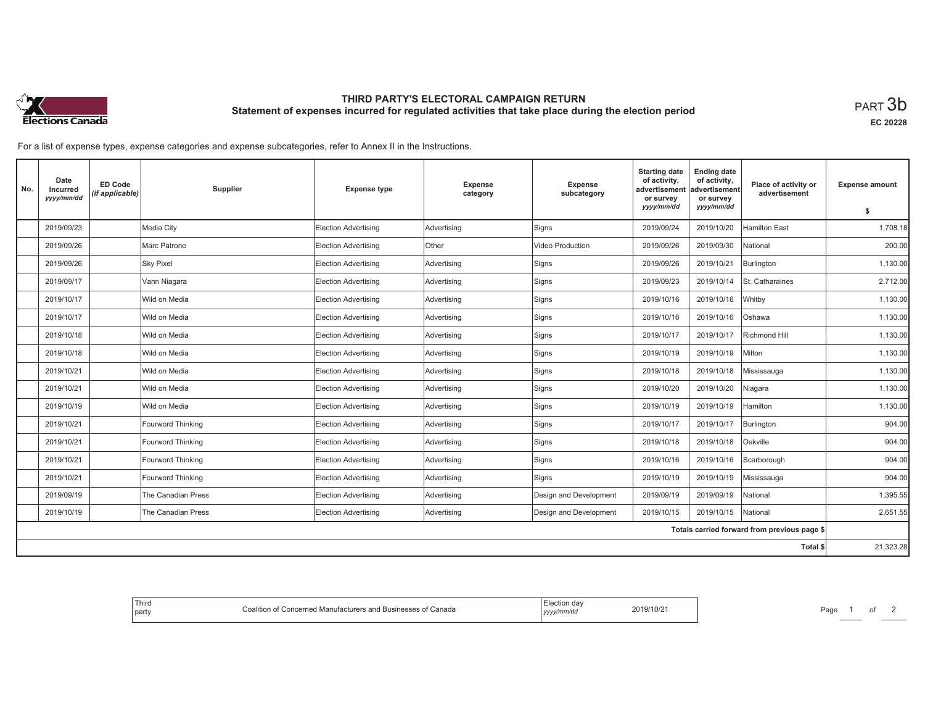

# **THIRD PARTY'S ELECTORAL CAMPAIGN RETURN Statement of expenses incurred for regulated activities that take place during the election period**<br>PART  $3\mathsf{b}$

**EC 20228**

For a list of expense types, expense categories and expense subcategories, refer to Annex II in the Instructions.

| No. | Date<br>incurred<br>yyyy/mm/dd | <b>ED Code</b><br>(if applicable) | Supplier           | <b>Expense type</b>         | <b>Expense</b><br>category | <b>Expense</b><br>subcategory | <b>Starting date</b><br>of activity,<br>advertisement<br>or survey | <b>Ending date</b><br>of activity,<br>advertisement<br>or survey | Place of activity or<br>advertisement        | <b>Expense amount</b> |
|-----|--------------------------------|-----------------------------------|--------------------|-----------------------------|----------------------------|-------------------------------|--------------------------------------------------------------------|------------------------------------------------------------------|----------------------------------------------|-----------------------|
|     |                                |                                   |                    |                             |                            |                               | yyyy/mm/dd                                                         | yyyy/mm/dd                                                       |                                              | s.                    |
|     | 2019/09/23                     |                                   | Media City         | <b>Election Advertising</b> | Advertising                | Signs                         | 2019/09/24                                                         | 2019/10/20                                                       | <b>Hamilton East</b>                         | 1,708.18              |
|     | 2019/09/26                     |                                   | Marc Patrone       | <b>Election Advertising</b> | <b>Other</b>               | <b>Video Production</b>       | 2019/09/26                                                         | 2019/09/30                                                       | National                                     | 200.00                |
|     | 2019/09/26                     |                                   | <b>Sky Pixel</b>   | <b>Election Advertising</b> | Advertising                | Signs                         | 2019/09/26                                                         | 2019/10/21                                                       | Burlington                                   | 1,130.00              |
|     | 2019/09/17                     |                                   | Vann Niagara       | <b>Election Advertising</b> | Advertising                | Signs                         | 2019/09/23                                                         | 2019/10/14                                                       | St. Catharaines                              | 2,712.00              |
|     | 2019/10/17                     |                                   | Wild on Media      | <b>Election Advertising</b> | Advertising                | Signs                         | 2019/10/16                                                         | 2019/10/16                                                       | Whitby                                       | 1,130.00              |
|     | 2019/10/17                     |                                   | Wild on Media      | <b>Election Advertising</b> | Advertising                | Signs                         | 2019/10/16                                                         | 2019/10/16                                                       | Oshawa                                       | 1,130.00              |
|     | 2019/10/18                     |                                   | Wild on Media      | <b>Election Advertising</b> | Advertising                | Signs                         | 2019/10/17                                                         | 2019/10/17                                                       | Richmond Hill                                | 1,130.00              |
|     | 2019/10/18                     |                                   | Wild on Media      | <b>Election Advertising</b> | Advertising                | Signs                         | 2019/10/19                                                         | 2019/10/19                                                       | Milton                                       | 1,130.00              |
|     | 2019/10/21                     |                                   | Wild on Media      | <b>Election Advertising</b> | Advertising                | Signs                         | 2019/10/18                                                         | 2019/10/18                                                       | Mississauga                                  | 1.130.00              |
|     | 2019/10/21                     |                                   | Wild on Media      | <b>Election Advertising</b> | Advertising                | Signs                         | 2019/10/20                                                         | 2019/10/20                                                       | Niagara                                      | 1,130.00              |
|     | 2019/10/19                     |                                   | Wild on Media      | <b>Election Advertising</b> | Advertising                | Signs                         | 2019/10/19                                                         | 2019/10/19                                                       | Hamilton                                     | 1,130.00              |
|     | 2019/10/21                     |                                   | Fourword Thinking  | <b>Election Advertising</b> | Advertising                | Signs                         | 2019/10/17                                                         | 2019/10/17                                                       | Burlington                                   | 904.00                |
|     | 2019/10/21                     |                                   | Fourword Thinking  | <b>Election Advertising</b> | Advertising                | Signs                         | 2019/10/18                                                         | 2019/10/18                                                       | Oakville                                     | 904.00                |
|     | 2019/10/21                     |                                   | Fourword Thinking  | <b>Election Advertising</b> | Advertising                | Signs                         | 2019/10/16                                                         | 2019/10/16                                                       | Scarborough                                  | 904.00                |
|     | 2019/10/21                     |                                   | Fourword Thinking  | <b>Election Advertising</b> | Advertising                | Signs                         | 2019/10/19                                                         | 2019/10/19                                                       | Mississauga                                  | 904.00                |
|     | 2019/09/19                     |                                   | The Canadian Press | <b>Election Advertising</b> | Advertising                | Design and Development        | 2019/09/19                                                         | 2019/09/19                                                       | National                                     | 1,395.55              |
|     | 2019/10/19                     |                                   | The Canadian Press | <b>Election Advertising</b> | Advertising                | Design and Development        | 2019/10/15                                                         | 2019/10/15                                                       | National                                     | 2,651.55              |
|     |                                |                                   |                    |                             |                            |                               |                                                                    |                                                                  | Totals carried forward from previous page \$ |                       |
|     |                                |                                   |                    |                             |                            |                               |                                                                    |                                                                  | Total \$                                     | 21,323.28             |

| Third<br>party | ∴calition<br>n of Concerned Manufacturers and Businesses of Canada | Election dav<br>vyyy/mm/dd<br>,,,,<br>$\sim$ $\sim$ | 2019/10/2 |  |
|----------------|--------------------------------------------------------------------|-----------------------------------------------------|-----------|--|
|----------------|--------------------------------------------------------------------|-----------------------------------------------------|-----------|--|

Page 1 of 2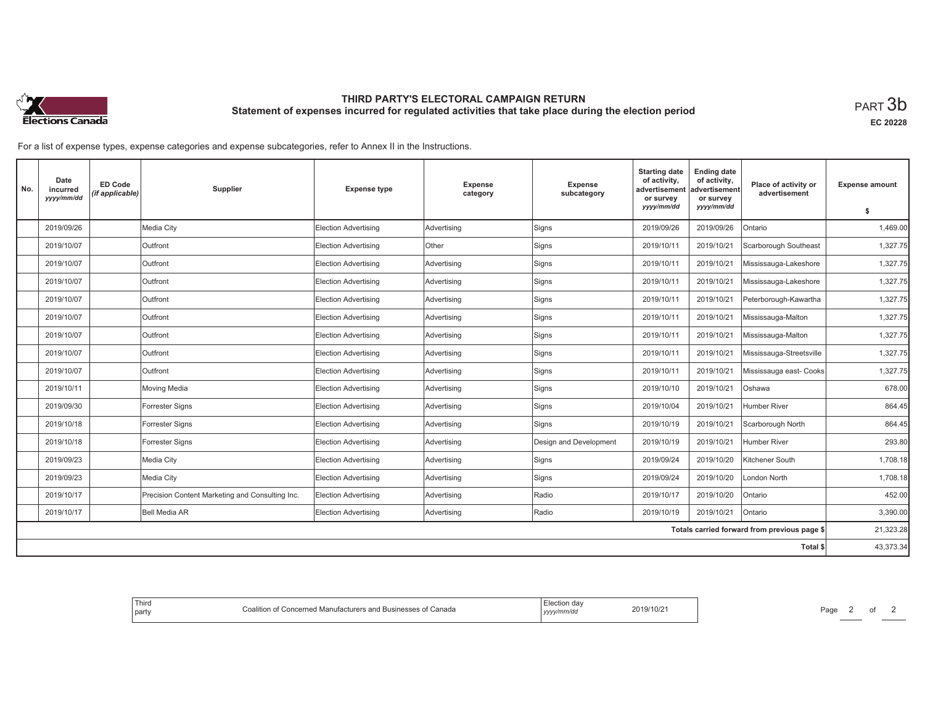

# **THIRD PARTY'S ELECTORAL CAMPAIGN RETURN Statement of expenses incurred for regulated activities that take place during the election period**<br>PART  $3\mathsf{b}$

**EC 20228**

For a list of expense types, expense categories and expense subcategories, refer to Annex II in the Instructions.

| No. | Date<br>incurred<br>yyyy/mm/dd | <b>ED Code</b><br>(if applicable) | Supplier                                        | <b>Expense type</b>         | Expense<br>category | Expense<br>subcategory | <b>Starting date</b><br>of activity,<br>advertisement<br>or survey<br>yyyy/mm/dd | <b>Ending date</b><br>of activity,<br>advertisement<br>or survey<br>yyyy/mm/dd | Place of activity or<br>advertisement        | <b>Expense amount</b><br>\$ |
|-----|--------------------------------|-----------------------------------|-------------------------------------------------|-----------------------------|---------------------|------------------------|----------------------------------------------------------------------------------|--------------------------------------------------------------------------------|----------------------------------------------|-----------------------------|
|     | 2019/09/26                     |                                   | Media City                                      | <b>Election Advertising</b> | Advertising         | Signs                  | 2019/09/26                                                                       | 2019/09/26                                                                     | Ontario                                      | 1,469.00                    |
|     |                                |                                   |                                                 |                             |                     |                        |                                                                                  |                                                                                |                                              |                             |
|     | 2019/10/07                     |                                   | Outfront                                        | <b>Election Advertising</b> | Other               | Signs                  | 2019/10/11                                                                       | 2019/10/21                                                                     | Scarborough Southeast                        | 1,327.75                    |
|     | 2019/10/07                     |                                   | Outfront                                        | <b>Election Advertising</b> | Advertising         | Signs                  | 2019/10/11                                                                       | 2019/10/21                                                                     | Mississauga-Lakeshore                        | 1,327.75                    |
|     | 2019/10/07                     |                                   | Outfront                                        | <b>Election Advertising</b> | Advertising         | Signs                  | 2019/10/11                                                                       | 2019/10/21                                                                     | Mississauga-Lakeshore                        | 1,327.75                    |
|     | 2019/10/07                     |                                   | Outfront                                        | <b>Election Advertising</b> | Advertising         | Signs                  | 2019/10/11                                                                       | 2019/10/21                                                                     | Peterborough-Kawartha                        | 1,327.75                    |
|     | 2019/10/07                     |                                   | Outfront                                        | <b>Election Advertising</b> | Advertising         | Signs                  | 2019/10/11                                                                       | 2019/10/21                                                                     | Mississauga-Malton                           | 1,327.75                    |
|     | 2019/10/07                     |                                   | Outfront                                        | <b>Election Advertising</b> | Advertising         | Signs                  | 2019/10/11                                                                       | 2019/10/21                                                                     | Mississauga-Malton                           | 1,327.75                    |
|     | 2019/10/07                     |                                   | Outfront                                        | <b>Election Advertising</b> | Advertising         | Signs                  | 2019/10/11                                                                       | 2019/10/21                                                                     | Mississauga-Streetsville                     | 1,327.75                    |
|     | 2019/10/07                     |                                   | Outfront                                        | <b>Election Advertising</b> | Advertising         | Signs                  | 2019/10/11                                                                       | 2019/10/21                                                                     | Mississauga east- Cooks                      | 1,327.75                    |
|     | 2019/10/11                     |                                   | Moving Media                                    | <b>Election Advertising</b> | Advertising         | Signs                  | 2019/10/10                                                                       | 2019/10/21                                                                     | Oshawa                                       | 678.00                      |
|     | 2019/09/30                     |                                   | Forrester Signs                                 | <b>Election Advertising</b> | Advertising         | Signs                  | 2019/10/04                                                                       | 2019/10/21                                                                     | <b>Humber River</b>                          | 864.45                      |
|     | 2019/10/18                     |                                   | Forrester Signs                                 | <b>Election Advertising</b> | Advertising         | Signs                  | 2019/10/19                                                                       | 2019/10/21                                                                     | Scarborough North                            | 864.45                      |
|     | 2019/10/18                     |                                   | Forrester Signs                                 | <b>Election Advertising</b> | Advertising         | Design and Development | 2019/10/19                                                                       | 2019/10/21                                                                     | Humber River                                 | 293.80                      |
|     | 2019/09/23                     |                                   | Media City                                      | <b>Election Advertising</b> | Advertising         | Signs                  | 2019/09/24                                                                       | 2019/10/20                                                                     | Kitchener South                              | 1,708.18                    |
|     | 2019/09/23                     |                                   | Media City                                      | <b>Election Advertising</b> | Advertising         | Signs                  | 2019/09/24                                                                       | 2019/10/20                                                                     | London North                                 | 1,708.18                    |
|     | 2019/10/17                     |                                   | Precision Content Marketing and Consulting Inc. | <b>Election Advertising</b> | Advertising         | Radio                  | 2019/10/17                                                                       | 2019/10/20                                                                     | Ontario                                      | 452.00                      |
|     | 2019/10/17                     |                                   | Bell Media AR                                   | <b>Election Advertising</b> | Advertising         | Radio                  | 2019/10/19                                                                       | 2019/10/21                                                                     | Ontario                                      | 3,390.00                    |
|     |                                |                                   |                                                 |                             |                     |                        |                                                                                  |                                                                                | Totals carried forward from previous page \$ | 21,323.28                   |
|     |                                |                                   |                                                 |                             |                     |                        |                                                                                  |                                                                                | Total \$                                     | 43,373.34                   |

| Third<br>party | Coalition of Concerned Manufacturers and Businesses of Canada | Election dav<br>vyy/mm/dd<br>,,,, | 2019/10/21 |  |
|----------------|---------------------------------------------------------------|-----------------------------------|------------|--|
|----------------|---------------------------------------------------------------|-----------------------------------|------------|--|

Page 2 of 2